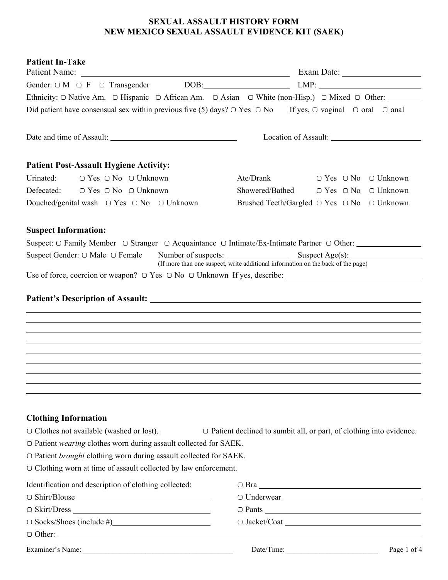# **SEXUAL ASSAULT HISTORY FORM NEW MEXICO SEXUAL ASSAULT EVIDENCE KIT (SAEK)**

| <b>Patient In-Take</b>                                                                                                                                                                                                                                                                                                                       |                                                                                  |                                                                             |  |  |  |
|----------------------------------------------------------------------------------------------------------------------------------------------------------------------------------------------------------------------------------------------------------------------------------------------------------------------------------------------|----------------------------------------------------------------------------------|-----------------------------------------------------------------------------|--|--|--|
| Gender: $\Box$ M $\Box$ F $\Box$ Transgender DOB: LMP: LMP: LMP:                                                                                                                                                                                                                                                                             |                                                                                  |                                                                             |  |  |  |
| Ethnicity: ○ Native Am. ○ Hispanic ○ African Am. ○ Asian ○ White (non-Hisp.) ○ Mixed ○ Other: ______                                                                                                                                                                                                                                         |                                                                                  |                                                                             |  |  |  |
| Did patient have consensual sex within previous five (5) days? $\bigcirc$ Yes $\bigcirc$ No If yes, $\bigcirc$ vaginal $\bigcirc$ oral $\bigcirc$ anal                                                                                                                                                                                       |                                                                                  |                                                                             |  |  |  |
|                                                                                                                                                                                                                                                                                                                                              |                                                                                  | Location of Assault:                                                        |  |  |  |
| <b>Patient Post-Assault Hygiene Activity:</b>                                                                                                                                                                                                                                                                                                |                                                                                  |                                                                             |  |  |  |
| Urinated:<br>$\bigcirc$ Yes $\bigcirc$ No $\bigcirc$ Unknown                                                                                                                                                                                                                                                                                 |                                                                                  | Ate/Drank □ Yes □ No □ Unknown                                              |  |  |  |
| Defecated: ○ Yes ○ No ○ Unknown                                                                                                                                                                                                                                                                                                              |                                                                                  | Showered/Bathed ○ Yes ○ No ○ Unknown                                        |  |  |  |
| Douched/genital wash $\Box$ Yes $\Box$ No $\Box$ Unknown                                                                                                                                                                                                                                                                                     | Brushed Teeth/Gargled ○ Yes ○ No ○ Unknown                                       |                                                                             |  |  |  |
| <b>Suspect Information:</b>                                                                                                                                                                                                                                                                                                                  |                                                                                  |                                                                             |  |  |  |
| Suspect: ○ Family Member ○ Stranger ○ Acquaintance ○ Intimate/Ex-Intimate Partner ○ Other:                                                                                                                                                                                                                                                   |                                                                                  |                                                                             |  |  |  |
|                                                                                                                                                                                                                                                                                                                                              | (If more than one suspect, write additional information on the back of the page) |                                                                             |  |  |  |
|                                                                                                                                                                                                                                                                                                                                              |                                                                                  |                                                                             |  |  |  |
|                                                                                                                                                                                                                                                                                                                                              |                                                                                  |                                                                             |  |  |  |
| ,我们也不会有什么。""我们的人,我们也不会有什么?""我们的人,我们也不会有什么?""我们的人,我们也不会有什么?""我们的人,我们也不会有什么?""我们的人<br>,我们也不会有什么。""我们的人,我们也不会有什么?""我们的人,我们也不会有什么?""我们的人,我们也不会有什么?""我们的人,我们也不会有什么?""我们的人<br>,我们也不会有什么。""我们的人,我们也不会有什么?""我们的人,我们也不会有什么?""我们的人,我们也不会有什么?""我们的人,我们也不会有什么?""我们的人<br>,我们也不会有什么?""我们的人,我们也不会有什么?""我们的人,我们也不会有什么?""我们的人,我们也不会有什么?""我们的人,我们也不会有什么?""我们的人 |                                                                                  |                                                                             |  |  |  |
| <b>Clothing Information</b><br>$\circ$ Clothes not available (washed or lost).<br>O Patient wearing clothes worn during assault collected for SAEK.<br>O Patient brought clothing worn during assault collected for SAEK.<br>$\circ$ Clothing worn at time of assault collected by law enforcement.                                          |                                                                                  | $\circ$ Patient declined to sumbit all, or part, of clothing into evidence. |  |  |  |
| Identification and description of clothing collected:                                                                                                                                                                                                                                                                                        |                                                                                  |                                                                             |  |  |  |
|                                                                                                                                                                                                                                                                                                                                              | O Underwear                                                                      |                                                                             |  |  |  |
|                                                                                                                                                                                                                                                                                                                                              |                                                                                  |                                                                             |  |  |  |
| $\circ$ Socks/Shoes (include #)                                                                                                                                                                                                                                                                                                              |                                                                                  |                                                                             |  |  |  |
|                                                                                                                                                                                                                                                                                                                                              |                                                                                  |                                                                             |  |  |  |
|                                                                                                                                                                                                                                                                                                                                              |                                                                                  | Page 1 of 4                                                                 |  |  |  |
|                                                                                                                                                                                                                                                                                                                                              |                                                                                  |                                                                             |  |  |  |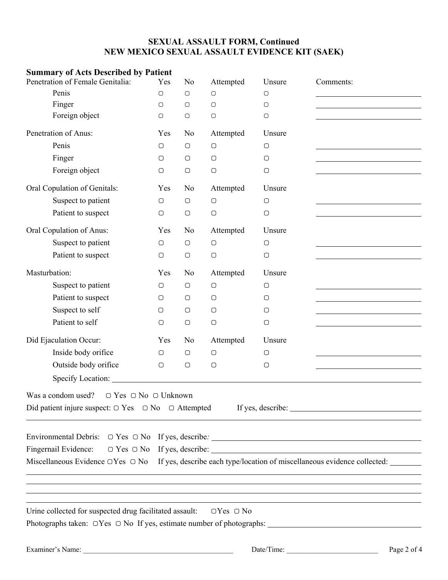# **SEXUAL ASSAULT FORM, Continued NEW MEXICO SEXUAL ASSAULT EVIDENCE KIT (SAEK)**

| <b>Summary of Acts Described by Patient</b>                                                                          |            |                |            |            |                                                                                                                                               |  |  |
|----------------------------------------------------------------------------------------------------------------------|------------|----------------|------------|------------|-----------------------------------------------------------------------------------------------------------------------------------------------|--|--|
| Penetration of Female Genitalia:                                                                                     | Yes        | N <sub>0</sub> | Attempted  | Unsure     | Comments:                                                                                                                                     |  |  |
| Penis                                                                                                                | $\bigcirc$ | $\bigcirc$     | $\bigcirc$ | $\bigcirc$ |                                                                                                                                               |  |  |
| Finger                                                                                                               | $\bigcirc$ | $\bigcirc$     | $\bigcirc$ | $\bigcirc$ |                                                                                                                                               |  |  |
| Foreign object                                                                                                       | $\bigcirc$ | $\bigcirc$     | $\bigcirc$ | $\bigcirc$ |                                                                                                                                               |  |  |
| Penetration of Anus:                                                                                                 | Yes        | N <sub>0</sub> | Attempted  | Unsure     |                                                                                                                                               |  |  |
| Penis                                                                                                                | $\bigcirc$ | $\bigcirc$     | $\bigcirc$ | $\bigcirc$ |                                                                                                                                               |  |  |
| Finger                                                                                                               | О          | $\bigcirc$     | $\bigcirc$ | $\bigcirc$ |                                                                                                                                               |  |  |
| Foreign object                                                                                                       | $\bigcirc$ | $\bigcirc$     | $\bigcirc$ | $\bigcirc$ |                                                                                                                                               |  |  |
| Oral Copulation of Genitals:                                                                                         | Yes        | N <sub>0</sub> | Attempted  | Unsure     |                                                                                                                                               |  |  |
| Suspect to patient                                                                                                   | $\bigcirc$ | $\bigcirc$     | $\bigcirc$ | $\bigcirc$ |                                                                                                                                               |  |  |
| Patient to suspect                                                                                                   | $\bigcirc$ | $\bigcirc$     | $\bigcirc$ | $\bigcirc$ |                                                                                                                                               |  |  |
| Oral Copulation of Anus:                                                                                             | Yes        | N <sub>0</sub> | Attempted  | Unsure     |                                                                                                                                               |  |  |
| Suspect to patient                                                                                                   | $\bigcirc$ | $\bigcirc$     | $\bigcirc$ | $\bigcirc$ |                                                                                                                                               |  |  |
| Patient to suspect                                                                                                   | $\bigcirc$ | $\bigcirc$     | $\bigcirc$ | $\bigcirc$ |                                                                                                                                               |  |  |
| Masturbation:                                                                                                        | Yes        | N <sub>0</sub> | Attempted  | Unsure     |                                                                                                                                               |  |  |
| Suspect to patient                                                                                                   | О          | $\bigcirc$     | $\bigcirc$ | $\bigcirc$ |                                                                                                                                               |  |  |
| Patient to suspect                                                                                                   | О          | $\bigcirc$     | $\bigcirc$ | О          |                                                                                                                                               |  |  |
| Suspect to self                                                                                                      | О          | $\bigcirc$     | $\bigcirc$ | О          |                                                                                                                                               |  |  |
| Patient to self                                                                                                      | $\bigcirc$ | $\bigcirc$     | $\bigcirc$ | $\bigcirc$ |                                                                                                                                               |  |  |
| Did Ejaculation Occur:                                                                                               | Yes        | N <sub>0</sub> | Attempted  | Unsure     |                                                                                                                                               |  |  |
| Inside body orifice                                                                                                  | $\bigcirc$ | $\bigcirc$     | $\bigcirc$ | $\bigcirc$ |                                                                                                                                               |  |  |
| Outside body orifice                                                                                                 | $\bigcirc$ | $\bigcirc$     | $\bigcirc$ | $\bigcirc$ |                                                                                                                                               |  |  |
| Specify Location:                                                                                                    |            |                |            |            |                                                                                                                                               |  |  |
| Was a condom used? $\Box$ Yes $\Box$ No $\Box$ Unknown                                                               |            |                |            |            |                                                                                                                                               |  |  |
| Miscellaneous Evidence ⊙Yes ⊙ No If yes, describe each type/location of miscellaneous evidence collected: __________ |            |                |            |            |                                                                                                                                               |  |  |
| Urine collected for suspected drug facilitated assault: $\Box$ Yes $\Box$ No                                         |            |                |            |            | <u> 1980 - John Stoff, amerikansk politiker (d. 1980)</u><br>,我们也不会有什么。""我们的人,我们也不会有什么?""我们的人,我们也不会有什么?""我们的人,我们也不会有什么?""我们的人,我们也不会有什么?""我们的人 |  |  |
| Photographs taken: ○Yes ○ No If yes, estimate number of photographs: ______________________________                  |            |                |            |            |                                                                                                                                               |  |  |
| Examiner's Name:                                                                                                     |            |                |            | Date/Time: | Page 2 of 4                                                                                                                                   |  |  |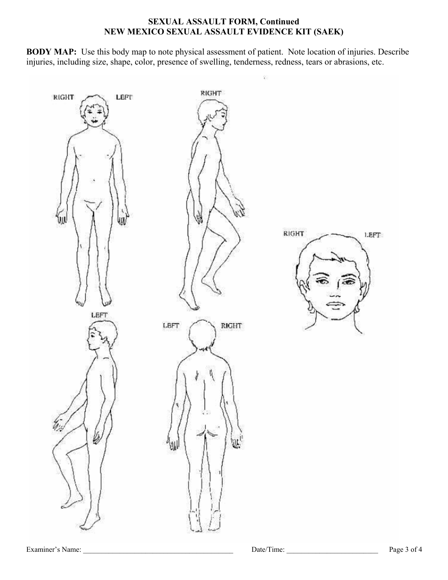## **SEXUAL ASSAULT FORM, Continued NEW MEXICO SEXUAL ASSAULT EVIDENCE KIT (SAEK)**

**BODY MAP:** Use this body map to note physical assessment of patient. Note location of injuries. Describe injuries, including size, shape, color, presence of swelling, tenderness, redness, tears or abrasions, etc.